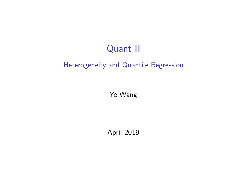# Quant II

#### Heterogeneity and Quantile Regression

Ye Wang

April 2019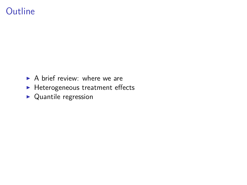## **Outline**

- $\triangleright$  A brief review: where we are
- $\blacktriangleright$  Heterogeneous treatment effects
- $\blacktriangleright$  Quantile regression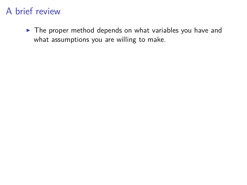$\blacktriangleright$  The proper method depends on what variables you have and what assumptions you are willing to make.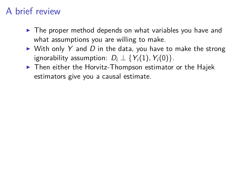- $\blacktriangleright$  The proper method depends on what variables you have and what assumptions you are willing to make.
- $\triangleright$  With only Y and D in the data, you have to make the strong ignorability assumption:  $D_i \perp \{Y_i(1), Y_i(0)\}.$
- $\blacktriangleright$  Then either the Horvitz-Thompson estimator or the Hajek estimators give you a causal estimate.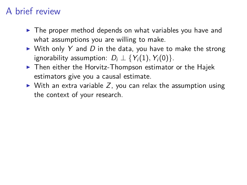- $\triangleright$  The proper method depends on what variables you have and what assumptions you are willing to make.
- $\triangleright$  With only Y and D in the data, you have to make the strong ignorability assumption:  $D_i \perp \{Y_i(1), Y_i(0)\}.$
- $\blacktriangleright$  Then either the Horvitz-Thompson estimator or the Hajek estimators give you a causal estimate.
- $\triangleright$  With an extra variable Z, you can relax the assumption using the context of your research.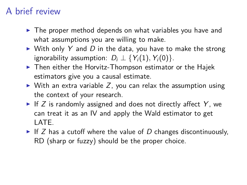- $\triangleright$  The proper method depends on what variables you have and what assumptions you are willing to make.
- $\triangleright$  With only Y and D in the data, you have to make the strong ignorability assumption:  $D_i \perp \{Y_i(1), Y_i(0)\}.$
- $\blacktriangleright$  Then either the Horvitz-Thompson estimator or the Hajek estimators give you a causal estimate.
- $\triangleright$  With an extra variable Z, you can relax the assumption using the context of your research.
- If Z is randomly assigned and does not directly affect Y, we can treat it as an IV and apply the Wald estimator to get LATE.
- If Z has a cutoff where the value of D changes discontinuously, RD (sharp or fuzzy) should be the proper choice.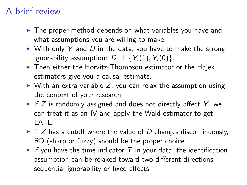- $\blacktriangleright$  The proper method depends on what variables you have and what assumptions you are willing to make.
- $\triangleright$  With only Y and D in the data, you have to make the strong ignorability assumption:  $D_i \perp \{Y_i(1), Y_i(0)\}.$
- $\blacktriangleright$  Then either the Horvitz-Thompson estimator or the Hajek estimators give you a causal estimate.
- $\triangleright$  With an extra variable Z, you can relax the assumption using the context of your research.
- If Z is randomly assigned and does not directly affect Y, we can treat it as an IV and apply the Wald estimator to get LATE.
- If Z has a cutoff where the value of D changes discontinuously, RD (sharp or fuzzy) should be the proper choice.
- If you have the time indicator  $T$  in your data, the identification assumption can be relaxed toward two different directions, sequential ignorability or fixed effects.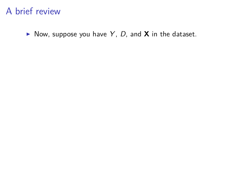$\triangleright$  Now, suppose you have Y, D, and **X** in the dataset.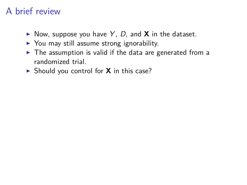- $\triangleright$  Now, suppose you have Y, D, and **X** in the dataset.
- $\triangleright$  You may still assume strong ignorability.
- $\blacktriangleright$  The assumption is valid if the data are generated from a randomized trial.
- $\triangleright$  Should you control for **X** in this case?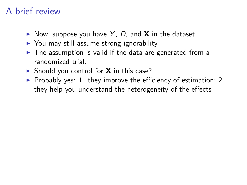- $\triangleright$  Now, suppose you have Y, D, and **X** in the dataset.
- $\triangleright$  You may still assume strong ignorability.
- $\blacktriangleright$  The assumption is valid if the data are generated from a randomized trial.
- ▶ Should you control for **X** in this case?
- $\triangleright$  Probably yes: 1. they improve the efficiency of estimation; 2. they help you understand the heterogeneity of the effects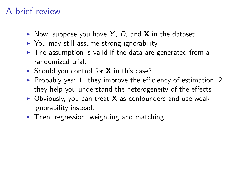- $\triangleright$  Now, suppose you have Y, D, and **X** in the dataset.
- $\triangleright$  You may still assume strong ignorability.
- $\triangleright$  The assumption is valid if the data are generated from a randomized trial.
- ▶ Should you control for **X** in this case?
- $\triangleright$  Probably yes: 1. they improve the efficiency of estimation; 2. they help you understand the heterogeneity of the effects
- ▶ Obviously, you can treat **X** as confounders and use weak ignorability instead.
- $\blacktriangleright$  Then, regression, weighting and matching.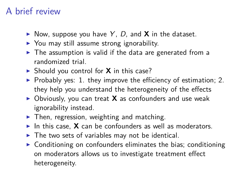- $\triangleright$  Now, suppose you have Y, D, and **X** in the dataset.
- $\triangleright$  You may still assume strong ignorability.
- $\blacktriangleright$  The assumption is valid if the data are generated from a randomized trial.
- ▶ Should you control for **X** in this case?
- $\triangleright$  Probably yes: 1. they improve the efficiency of estimation; 2. they help you understand the heterogeneity of the effects
- ▶ Obviously, you can treat **X** as confounders and use weak ignorability instead.
- $\blacktriangleright$  Then, regression, weighting and matching.
- In this case.  $\boldsymbol{X}$  can be confounders as well as moderators.
- $\triangleright$  The two sets of variables may not be identical.
- $\triangleright$  Conditioning on confounders eliminates the bias; conditioning on moderators allows us to investigate treatment effect heterogeneity.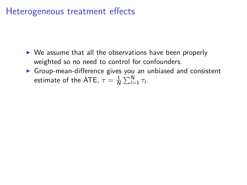- $\triangleright$  We assume that all the observations have been properly weighted so no need to control for confounders.
- $\triangleright$  Group-mean-difference gives you an unbiased and consistent estimate of the ATE,  $\tau = \frac{1}{N}$  $\frac{1}{N} \sum_{i=1}^{N} \tau_i$ .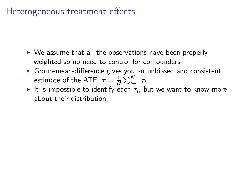- $\triangleright$  We assume that all the observations have been properly weighted so no need to control for confounders.
- $\triangleright$  Group-mean-difference gives you an unbiased and consistent estimate of the ATE,  $\tau = \frac{1}{N}$  $\frac{1}{N} \sum_{i=1}^{N} \tau_i$ .
- $\blacktriangleright$  It is impossible to identify each  $\tau_i$ , but we want to know more about their distribution.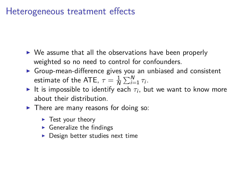- $\triangleright$  We assume that all the observations have been properly weighted so no need to control for confounders.
- $\triangleright$  Group-mean-difference gives you an unbiased and consistent estimate of the ATE,  $\tau = \frac{1}{N}$  $\frac{1}{N} \sum_{i=1}^{N} \tau_i$ .
- $\blacktriangleright$  It is impossible to identify each  $\tau_i$ , but we want to know more about their distribution.
- $\blacktriangleright$  There are many reasons for doing so:
	- $\blacktriangleright$  Test your theory
	- $\blacktriangleright$  Generalize the findings
	- $\triangleright$  Design better studies next time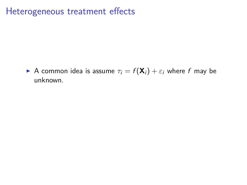A common idea is assume  $\tau_i = f(\mathbf{X}_i) + \varepsilon_i$  where f may be unknown.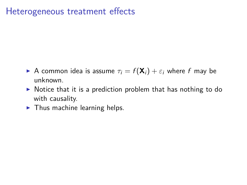- A common idea is assume  $\tau_i = f(\mathbf{X}_i) + \varepsilon_i$  where f may be unknown.
- $\triangleright$  Notice that it is a prediction problem that has nothing to do with causality.
- $\blacktriangleright$  Thus machine learning helps.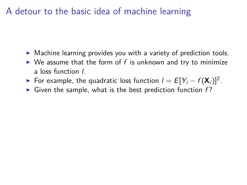- $\triangleright$  Machine learning provides you with a variety of prediction tools.
- $\triangleright$  We assume that the form of f is unknown and try to minimize a loss function l.
- ► For example, the quadratic loss function  $I = E[Y_i f(\mathbf{X}_i)]^2$ .
- $\triangleright$  Given the sample, what is the best prediction function f?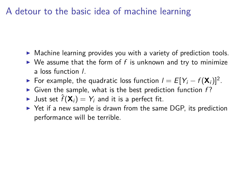- $\triangleright$  Machine learning provides you with a variety of prediction tools.
- $\triangleright$  We assume that the form of f is unknown and try to minimize a loss function l.
- ► For example, the quadratic loss function  $I = E[Y_i f(\mathbf{X}_i)]^2$ .
- $\triangleright$  Given the sample, what is the best prediction function f?
- In Just set  $\hat{f}(\mathbf{X}_i) = Y_i$  and it is a perfect fit.
- $\triangleright$  Yet if a new sample is drawn from the same DGP, its prediction performance will be terrible.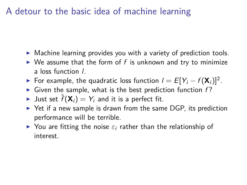- $\triangleright$  Machine learning provides you with a variety of prediction tools.
- $\triangleright$  We assume that the form of f is unknown and try to minimize a loss function l.
- ► For example, the quadratic loss function  $I = E[Y_i f(\mathbf{X}_i)]^2$ .
- $\triangleright$  Given the sample, what is the best prediction function f?
- In Just set  $\hat{f}(\mathbf{X}_i) = Y_i$  and it is a perfect fit.
- $\triangleright$  Yet if a new sample is drawn from the same DGP, its prediction performance will be terrible.
- $\triangleright$  You are fitting the noise  $\varepsilon_i$  rather than the relationship of interest.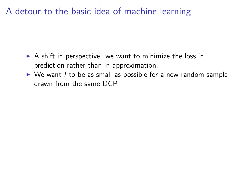- $\triangleright$  A shift in perspective: we want to minimize the loss in prediction rather than in approximation.
- $\triangleright$  We want *l* to be as small as possible for a new random sample drawn from the same DGP.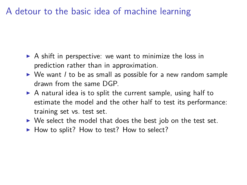- $\triangleright$  A shift in perspective: we want to minimize the loss in prediction rather than in approximation.
- $\triangleright$  We want *l* to be as small as possible for a new random sample drawn from the same DGP.
- $\triangleright$  A natural idea is to split the current sample, using half to estimate the model and the other half to test its performance: training set vs. test set.
- $\triangleright$  We select the model that does the best job on the test set.
- $\blacktriangleright$  How to split? How to test? How to select?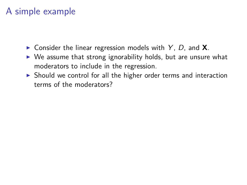- $\triangleright$  Consider the linear regression models with Y, D, and **X**.
- $\triangleright$  We assume that strong ignorability holds, but are unsure what moderators to include in the regression.
- $\triangleright$  Should we control for all the higher order terms and interaction terms of the moderators?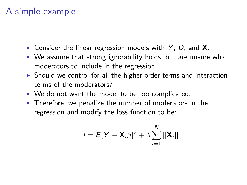- $\triangleright$  Consider the linear regression models with Y, D, and **X**.
- $\triangleright$  We assume that strong ignorability holds, but are unsure what moderators to include in the regression.
- $\triangleright$  Should we control for all the higher order terms and interaction terms of the moderators?
- $\triangleright$  We do not want the model to be too complicated.
- $\blacktriangleright$  Therefore, we penalize the number of moderators in the regression and modify the loss function to be:

$$
I = E[Y_i - \mathbf{X}_i \beta]^2 + \lambda \sum_{i=1}^N ||\mathbf{X}_i||
$$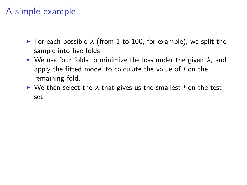- **For each possible**  $\lambda$  (from 1 to 100, for example), we split the sample into five folds.
- $\triangleright$  We use four folds to minimize the loss under the given  $\lambda$ , and apply the fitted model to calculate the value of *l* on the remaining fold.
- $\triangleright$  We then select the  $\lambda$  that gives us the smallest *l* on the test set.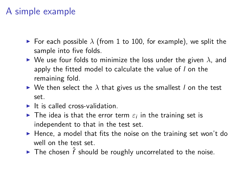- For each possible  $\lambda$  (from 1 to 100, for example), we split the sample into five folds.
- $\triangleright$  We use four folds to minimize the loss under the given  $\lambda$ , and apply the fitted model to calculate the value of *l* on the remaining fold.
- $\triangleright$  We then select the  $\lambda$  that gives us the smallest *l* on the test set.
- $\blacktriangleright$  It is called cross-validation.
- $\blacktriangleright$  The idea is that the error term  $\varepsilon_i$  in the training set is independent to that in the test set.
- $\blacktriangleright$  Hence, a model that fits the noise on the training set won't do well on the test set.
- ▶ The chosen  $\hat{f}$  should be roughly uncorrelated to the noise.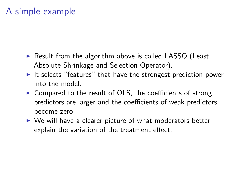- $\triangleright$  Result from the algorithm above is called LASSO (Least Absolute Shrinkage and Selection Operator).
- It selects "features" that have the strongest prediction power into the model.
- $\triangleright$  Compared to the result of OLS, the coefficients of strong predictors are larger and the coefficients of weak predictors become zero.
- $\triangleright$  We will have a clearer picture of what moderators better explain the variation of the treatment effect.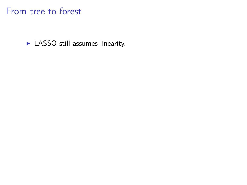$\blacktriangleright$  LASSO still assumes linearity.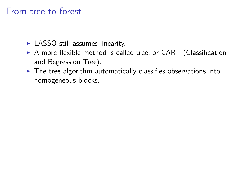- $\blacktriangleright$  LASSO still assumes linearity.
- $\triangleright$  A more flexible method is called tree, or CART (Classification and Regression Tree).
- $\blacktriangleright$  The tree algorithm automatically classifies observations into homogeneous blocks.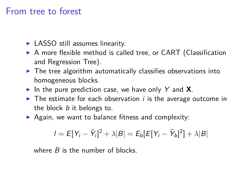- $\blacktriangleright$  LASSO still assumes linearity.
- $\triangleright$  A more flexible method is called tree, or CART (Classification and Regression Tree).
- $\blacktriangleright$  The tree algorithm automatically classifies observations into homogeneous blocks.
- In the pure prediction case, we have only Y and  $X$ .
- $\blacktriangleright$  The estimate for each observation *i* is the average outcome in the block *b* it belongs to.
- $\triangleright$  Again, we want to balance fitness and complexity:

$$
I = E[Y_i - \hat{Y}_i]^2 + \lambda |B| = E_b[E[Y_i - \bar{Y}_b]^2] + \lambda |B|
$$

where  $B$  is the number of blocks.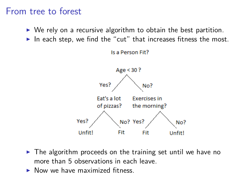- $\triangleright$  We rely on a recursive algorithm to obtain the best partition.
- In each step, we find the "cut" that increases fitness the most.





- $\triangleright$  The algorithm proceeds on the training set until we have no more than 5 observations in each leave.
- $\triangleright$  Now we have maximized fitness.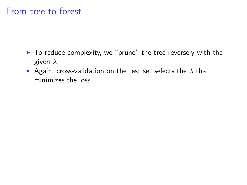- $\blacktriangleright$  To reduce complexity, we "prune" the tree reversely with the given *λ*.
- Again, cross-validation on the test set selects the  $\lambda$  that minimizes the loss.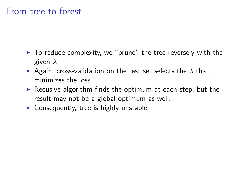- $\triangleright$  To reduce complexity, we "prune" the tree reversely with the given *λ*.
- **•** Again, cross-validation on the test set selects the  $\lambda$  that minimizes the loss.
- $\triangleright$  Recusive algorithm finds the optimum at each step, but the result may not be a global optimum as well.
- $\triangleright$  Consequently, tree is highly unstable.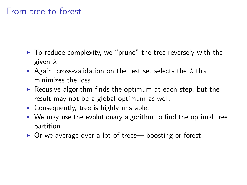- $\triangleright$  To reduce complexity, we "prune" the tree reversely with the given *λ*.
- **•** Again, cross-validation on the test set selects the  $\lambda$  that minimizes the loss.
- $\triangleright$  Recusive algorithm finds the optimum at each step, but the result may not be a global optimum as well.
- $\triangleright$  Consequently, tree is highly unstable.
- $\triangleright$  We may use the evolutionary algorithm to find the optimal tree partition.
- ▶ Or we average over a lot of trees— boosting or forest.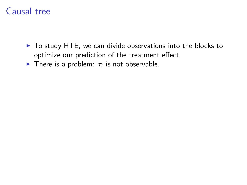## Causal tree

- $\triangleright$  To study HTE, we can divide observations into the blocks to optimize our prediction of the treatment effect.
- **There is a problem:**  $\tau_i$  is not observable.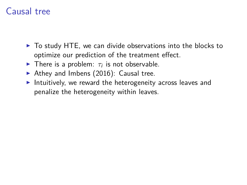## Causal tree

- $\triangleright$  To study HTE, we can divide observations into the blocks to optimize our prediction of the treatment effect.
- **There is a problem:**  $\tau_i$  is not observable.
- Athey and Imbens  $(2016)$ : Causal tree.
- Intuitively, we reward the heterogeneity across leaves and penalize the heterogeneity within leaves.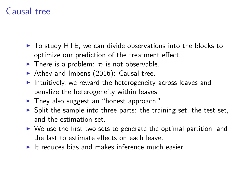## Causal tree

- $\triangleright$  To study HTE, we can divide observations into the blocks to optimize our prediction of the treatment effect.
- **There is a problem:**  $\tau_i$  is not observable.
- Athey and Imbens  $(2016)$ : Causal tree.
- Intuitively, we reward the heterogeneity across leaves and penalize the heterogeneity within leaves.
- $\blacktriangleright$  They also suggest an "honest approach."
- $\triangleright$  Split the sample into three parts: the training set, the test set, and the estimation set.
- $\triangleright$  We use the first two sets to generate the optimal partition, and the last to estimate effects on each leave.
- $\blacktriangleright$  It reduces bias and makes inference much easier.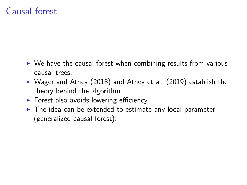- $\triangleright$  We have the causal forest when combining results from various causal trees.
- $\triangleright$  Wager and Athey (2018) and Athey et al. (2019) establish the theory behind the algorithm.
- $\triangleright$  Forest also avoids lowering efficiency.
- $\triangleright$  The idea can be extended to estimate any local parameter (generalized causal forest).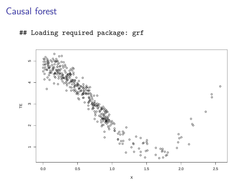## Loading required package: grf

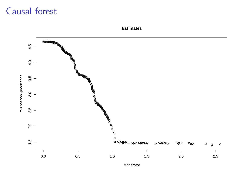



Moderator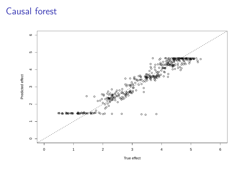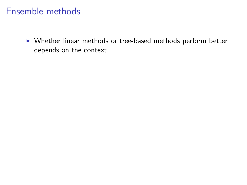$\triangleright$  Whether linear methods or tree-based methods perform better depends on the context.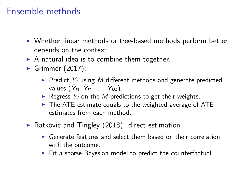- ▶ Whether linear methods or tree-based methods perform better depends on the context.
- $\triangleright$  A natural idea is to combine them together.
- Grimmer  $(2017)$ :
	- $\blacktriangleright$  Predict  $Y_i$  using M different methods and generate predicted values  $(\hat{\gamma}_{i1}, \hat{\gamma}_{i2}, \ldots, \hat{\gamma}_{iM}).$
	- Regress  $Y_i$  on the M predictions to get their weights.
	- $\triangleright$  The ATE estimate equals to the weighted average of ATE estimates from each method.
- $\triangleright$  Ratkovic and Tingley (2018): direct estimation
	- $\triangleright$  Generate features and select them based on their correlation with the outcome.
	- $\triangleright$  Fit a sparse Bayesian model to predict the counterfactual.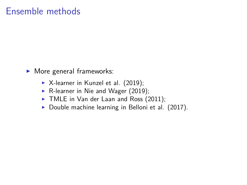- $\blacktriangleright$  More general frameworks:
	- $\triangleright$  X-learner in Kunzel et al. (2019);
	- $\triangleright$  R-learner in Nie and Wager (2019);
	- $\blacktriangleright$  TMLE in Van der Laan and Ross (2011);
	- $\triangleright$  Double machine learning in Belloni et al. (2017).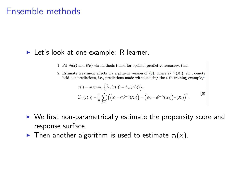#### $\blacktriangleright$  Let's look at one example: R-learner.

- 1. Fit  $\hat{m}(x)$  and  $\hat{e}(x)$  via methods tuned for optimal predictive accuracy, then
- 2. Estimate treatment effects via a plug-in version of (5), where  $\hat{e}^{(-i)}(X_i)$ , etc., denote held-out predictions, i.e., predictions made without using the  $i$ -th training example.<sup>1</sup>

$$
\hat{\tau}(\cdot) = \operatorname{argmin}_{\tau} \left\{ \widehat{L}_n(\tau(\cdot)) + \Lambda_n(\tau(\cdot)) \right\}, \n\widehat{L}_n(\tau(\cdot)) = \frac{1}{n} \sum_{i=1}^n \left( \left( Y_i - \hat{m}^{(-i)}(X_i) \right) - \left( W_i - \hat{e}^{(-i)}(X_i) \right) \tau(X_i) \right)^2.
$$
\n(6)

- $\triangleright$  We first non-parametrically estimate the propensity score and response surface.
- **I** Then another algorithm is used to estimate  $\tau_i(x)$ .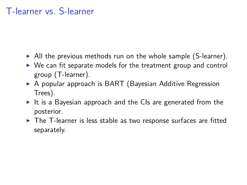#### T-learner vs. S-learner

- $\triangleright$  All the previous methods run on the whole sample (S-learner).
- $\triangleright$  We can fit separate models for the treatment group and control group (T-learner).
- ▶ A popular approach is BART (Bayesian Additive Regression Trees).
- It is a Bayesian approach and the CIs are generated from the posterior.
- $\triangleright$  The T-learner is less stable as two response surfaces are fitted separately.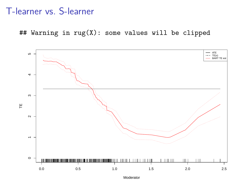#### T-learner vs. S-learner

## Warning in rug(X): some values will be clipped



Moderator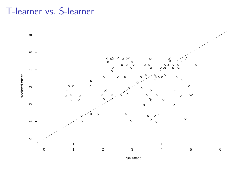## T-learner vs. S-learner



True effect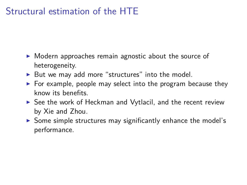## Structural estimation of the HTE

- $\triangleright$  Modern approaches remain agnostic about the source of heterogeneity.
- $\triangleright$  But we may add more "structures" into the model.
- $\triangleright$  For example, people may select into the program because they know its benefits.
- $\triangleright$  See the work of Heckman and Vytlacil, and the recent review by Xie and Zhou.
- $\triangleright$  Some simple structures may significantly enhance the model's performance.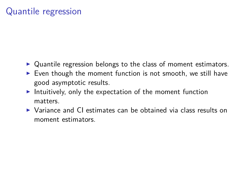## Quantile regression

- $\triangleright$  Quantile regression belongs to the class of moment estimators.
- $\triangleright$  Even though the moment function is not smooth, we still have good asymptotic results.
- Intuitively, only the expectation of the moment function matters.
- $\triangleright$  Variance and CI estimates can be obtained via class results on moment estimators.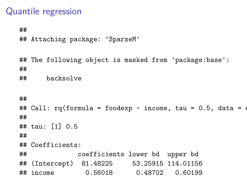## Quantile regression

##

## Attaching package: 'SparseM'

## The following object is masked from 'package:base': ##

## backsolve

```
##
## Call: rq(formula = foodexp \sim income, tau = 0.5, data = on
##
## tau: [1] 0.5
##
## Coefficients:
## coefficients lower bd upper bd
## (Intercept) 81.48225 53.25915 114.01156
## income 0.56018 0.48702 0.60199
```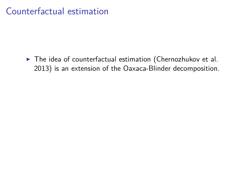$\blacktriangleright$  The idea of counterfactual estimation (Chernozhukov et al. 2013) is an extension of the Oaxaca-Blinder decomposition.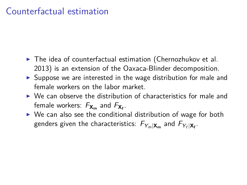- $\blacktriangleright$  The idea of counterfactual estimation (Chernozhukov et al. 2013) is an extension of the Oaxaca-Blinder decomposition.
- $\triangleright$  Suppose we are interested in the wage distribution for male and female workers on the labor market.
- $\triangleright$  We can observe the distribution of characteristics for male and female workers: F**X<sup>m</sup>** and F**X<sup>f</sup>** .
- $\triangleright$  We can also see the conditional distribution of wage for both genders given the characteristics:  $F_{Y_m|\mathbf{X_m}}$  and  $F_{Y_f|\mathbf{X_f}}.$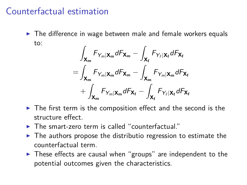$\triangleright$  The difference in wage between male and female workers equals to:

$$
\int_{\mathbf{X}_{\mathsf{m}}} F_{Y_{m}|\mathbf{X}_{\mathsf{m}}} dF_{\mathbf{X}_{\mathsf{m}}} - \int_{\mathbf{X}_{\mathsf{f}}} F_{Y_{f}|\mathbf{X}_{\mathsf{f}}} dF_{\mathbf{X}_{\mathsf{f}}}
$$
\n
$$
= \int_{\mathbf{X}_{\mathsf{m}}} F_{Y_{m}|\mathbf{X}_{\mathsf{m}}} dF_{\mathbf{X}_{\mathsf{m}}} - \int_{\mathbf{X}_{\mathsf{m}}} F_{Y_{m}|\mathbf{X}_{\mathsf{m}}} dF_{\mathbf{X}_{\mathsf{f}}}
$$
\n
$$
+ \int_{\mathbf{X}_{\mathsf{m}}} F_{Y_{m}|\mathbf{X}_{\mathsf{m}}} dF_{\mathbf{X}_{\mathsf{f}}} - \int_{\mathbf{X}_{\mathsf{f}}} F_{Y_{f}|\mathbf{X}_{\mathsf{f}}} dF_{\mathbf{X}_{\mathsf{f}}}
$$

- $\triangleright$  The first term is the composition effect and the second is the structure effect.
- $\blacktriangleright$  The smart-zero term is called "counterfactual."
- $\triangleright$  The authors propose the distributio regression to estimate the counterfactual term.
- $\triangleright$  These effects are causal when "groups" are independent to the potential outcomes given the characteristics.